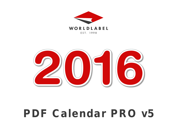



# PDF Calendar PRO v5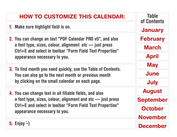### HOW TO CUSTOMIZE THIS CALENDAR: 1. Make sure highlight field is on. 2. You can change an text "PDF Calendar PRO v5", and also a font type, sizes, colour, alignment etc — just press Ctrl+E and select in toolbar "Form Field Text Properties" appearance necessary to you. 3. To find month you need quickly, use the Table of Contents. You can also go to the next month or previous month by clicking on the small calendar on each page. 4. You can change text in all fillable fields, and also a font type, sizes, colour, alignment and etc — just press Ctrl+E and select in toolbar "Form Field Text Properties" appearance necessary to you. 5. Enjoy  $\div$ ) **Table** of Contents [January](#page-2-0) [February](#page-3-0) [March](#page-4-0) [April](#page-5-0) **[May](#page-6-0)** [June](#page-7-0) [July](#page-8-0) [August](#page-9-0) [September](#page-10-0) **[October](#page-11-0)** [November](#page-12-0) [December](#page-13-0)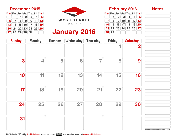| V |  |
|---|--|
|   |  |

 $\boxed{\mathsf{Sun}}$  Mon Tue Wed Thu Fri  $\boxed{\mathsf{Sat}}$ 

7 8 9 10 11 12 13  $\mid$  14  $\mid$  15  $\mid$  16  $\mid$  17  $\mid$  18  $\mid$  19  $\mid$  20  $\mid$  $21$  22 23 24 25 26 27

28 29

 $1 \ 2 \ 3 \ 4 \ 5 \ 6$ 

<span id="page-2-0"></span>

| <b>Sun Mon Tue Wed Thu Fri Sat</b> |  |             |  |
|------------------------------------|--|-------------|--|
|                                    |  | $1$ 2 3 4 5 |  |
| $6$ 7 8 9 10 11 12                 |  |             |  |
| $13$ $14$ $15$ $16$ $17$ $18$ $19$ |  |             |  |
| $\boxed{20}$ 21 22 23 24 25 26     |  |             |  |
| $27$ 28 29 30 31                   |  |             |  |

| <b>January 2016</b> |  |
|---------------------|--|
|---------------------|--|

| <b>Sunday</b> | <b>Monday</b>           | <b>Tuesday</b> | Wednesday | <b>Thursday</b> | <b>Friday</b> | <b>Saturday</b> |
|---------------|-------------------------|----------------|-----------|-----------------|---------------|-----------------|
|               |                         |                |           |                 | ◀             | 2               |
| 3             | $\overline{\mathbf{4}}$ | 5              | 6         | 7               | 8             | 9               |
| 10            | 11                      | 12             | 13        | 14              | 15            | 16              |
| 17            | 18                      | 19             | 20        | 21              | 22            | 23              |
| 24            | 25                      | 26             | 27        | 28              | 29            | 30              |
| 31            |                         |                |           |                 |               |                 |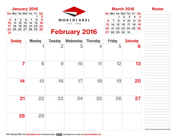$S$ un $(M$ on $T$ ue $(Wed)$ Thu $F$ Fri $\overline{S}$ Sat

 $6$  7 8 9 10 11 12  $\vert$  13 || 14 || 15 || 16 || 17 || 18 || 19  $\mid$  20  $\mid$  21  $\mid$  22  $\mid$  23  $\mid$  24  $\mid$  25  $\mid$  26

 $(27)$  28  $29$  30  $\,$  31

 $1 \ 2 \ 3 \ 4 \ 5$ 



<span id="page-3-0"></span>

|                |                      |  | Sun Mon Tue Wed Thu Fri (Sat                                                                                    |                |
|----------------|----------------------|--|-----------------------------------------------------------------------------------------------------------------|----------------|
|                |                      |  |                                                                                                                 | $\overline{2}$ |
| 3 <sup>1</sup> | $\blacktriangleleft$ |  | $5$ 6 7 8 9                                                                                                     |                |
|                |                      |  | $\overline{10}$ $\overline{11}$ $\overline{12}$ $\overline{13}$ $\overline{14}$ $\overline{15}$ $\overline{16}$ |                |
|                |                      |  | $\overline{17}$ $\overline{18}$ $\overline{19}$ $\overline{20}$ $\overline{21}$ $\overline{22}$ $\overline{23}$ |                |
|                |                      |  | $\boxed{24}\boxed{25}\boxed{26}\boxed{27}\boxed{28}\boxed{29}\boxed{30}$                                        |                |
| 31             |                      |  |                                                                                                                 |                |

| <b>Sunday</b> | <b>Monday</b> | <b>Tuesday</b>          | Wednesday | <b>Thursday</b> | <b>Friday</b> | <b>Saturday</b> |
|---------------|---------------|-------------------------|-----------|-----------------|---------------|-----------------|
|               | 1             | $\overline{\mathbf{2}}$ | 3         | 4               | 5             | 6               |
| 7             | 8             | 9                       | 10        | 11              | 12            | 13              |
| 14            | 15            | 16                      | 17        | 18              | 19            | 20              |
| 21            | 22            | 23                      | 24        | 25              | 26            | 27              |
| 28            | 29            |                         |           |                 |               |                 |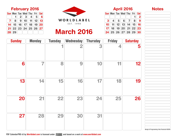|--|

**April 2016** 

 $\boxed{\mathsf{Sun}}$  Mon Tue Wed Thu Fri  $\boxed{\mathsf{Sat}}$ 

 $3 \ 4 \ 5 \ 6 \ 7 \ 8$  $10$  11 12 13 14 15 16  $17$   $18$   $19$   $20$   $21$   $22$   $23$  $[24] 25] 26] 27] 28] 29] 30$ 

 $\begin{array}{c|c} \hline \mathbf{1} & \mathbf{2} \\ \hline \mathbf{8} & \mathbf{9} \end{array}$ 



# March 2016

<span id="page-4-0"></span>

| <b>February 2016</b>               |  |                         |  |  |  |  |
|------------------------------------|--|-------------------------|--|--|--|--|
| Sun Mon Tue Wed Thu Fri Sat        |  |                         |  |  |  |  |
|                                    |  | $1 \ 2 \ 3 \ 4 \ 5 \ 6$ |  |  |  |  |
| $7$ $8$ $9$ $10$ $11$ $12$ $13$    |  |                         |  |  |  |  |
| $14$ $15$ $16$ $17$ $18$ $19$ $20$ |  |                         |  |  |  |  |
| $21$ 22 23 24 25 26 27             |  |                         |  |  |  |  |

28 29

| <b>Sunday</b> | <b>Monday</b> | <b>Tuesday</b> | Wednesday               | <b>Thursday</b> | <b>Friday</b> | <b>Saturday</b> |
|---------------|---------------|----------------|-------------------------|-----------------|---------------|-----------------|
|               |               |                | $\overline{\mathbf{2}}$ | 3               | 4             | 5               |
| 6             | 7             | 8              | 9                       | 10              | 11            | 12              |
| 13            | 14            | 15             | 16                      | 17              | 18            | 19              |
| 20            | 21            | 22             | 23                      | 24              | 25            | 26              |
| 27            | 28            | 29             | 30                      | 31              |               |                 |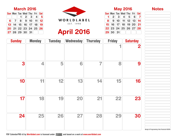| O1<br>п |
|---------|
|         |

**May 2016** 1 2 Sun Mon Tue Wed Thu Fri Sat 1  $| 2 | 3 | 4 | 5 | 6 | 7$ 8 9 10 11 12 13 14  $15 \ 16 \ 17 \ 18 \ 19 \ 20 \ 21$  $[$  22 $[$  23 $]$  24 $[$  25 $]$  26 $[$  27 $]$  28 $\,$ 

 $\left[ 29\right] 30$   $\left[ 31\right]$ 



## April 2016

<span id="page-5-0"></span>

|  | <b>March 2016</b>                                                                      |  |  |
|--|----------------------------------------------------------------------------------------|--|--|
|  | Sun Mon Tue Wed Thu Fri Sat                                                            |  |  |
|  | $1 \ 2 \ 3 \ 4 \ 5$                                                                    |  |  |
|  | $\boxed{6}$ $\boxed{7}$ $\boxed{8}$ $\boxed{9}$ $\boxed{10}$ $\boxed{11}$ $\boxed{12}$ |  |  |
|  | $\fbox{13}$ $\fbox{14}$ $\fbox{15}$ $\fbox{16}$ $\fbox{17}$ $\fbox{18}$ $\fbox{19}$    |  |  |
|  | $[20]$ 21 $[22]$ 23 $[24]$ 25 $[26]$                                                   |  |  |
|  | $\boxed{27}$ 28 29 30 31                                                               |  |  |

| <b>Sunday</b> | <b>Monday</b> | <b>Tuesday</b> | Wednesday | <b>Thursday</b> | <b>Friday</b> | <b>Saturday</b> |
|---------------|---------------|----------------|-----------|-----------------|---------------|-----------------|
|               |               |                |           |                 |               | 2               |
| 3             | 4             | 5              | 6         | 7               | 8             | 9               |
| 10            | 11            | 12             | 13        | 14              | 15            | 16              |
| 17            | 18            | 19             | 20        | 21              | 22            | 23              |
| 24            | 25            | 26             | 27        | 28              | 29            | 30              |

Design & Programming: Alex Pavlovich ©2015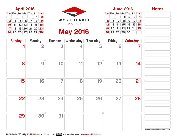$S$ un $(M$ on $T$ ue $(Wed)$ Thu $(T$ Fri $\overline{S}$ Sat

5 6 7 8 9 10 11  $12$  13 14 15 16 16 17 18  $19|20|21|22|23|24|25$ 

 $(26\,27\,28\,29\,30)$ 

 $1 \ 2 \ 3 \ 4$ 



April 2016 June 2016 WORLDLABEL EST. 1998

May 2016

<span id="page-6-0"></span>

| Sun Mon Tue Wed Thu Fri Sat                                                                |  |  |                |
|--------------------------------------------------------------------------------------------|--|--|----------------|
|                                                                                            |  |  | $\overline{2}$ |
| $3$ 4 5 6 7 8 9                                                                            |  |  |                |
| $10$ $11$ $12$ $13$ $14$ $15$ $16$                                                         |  |  |                |
| $17$ $18$ $19$ $20$ $21$ $22$ $23$                                                         |  |  |                |
| $\boxed{24}$ $\boxed{25}$ $\boxed{26}$ $\boxed{27}$ $\boxed{28}$ $\boxed{29}$ $\boxed{30}$ |  |  |                |

| <b>Sunday</b> | <b>Monday</b> | <b>Tuesday</b> | <b>Wednesday</b> | <b>Thursday</b> | <b>Friday</b> | <b>Saturday</b> |
|---------------|---------------|----------------|------------------|-----------------|---------------|-----------------|
|               | 2             | 3              | 4                | 5               | 6             |                 |
| 8             | 9             | 10             | 11               | 12              | 13            | 14              |
| 15            | 16            | 17             | 18               | 19              | 20            | 21              |
| 22            | 23            | 24             | 25               | 26              | 27            | 28              |
| 29            | 30            | 31             |                  |                 |               |                 |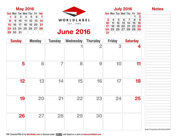| <b>Notes</b> |
|--------------|
|--------------|

Sun Mon Tue Wed Thu Fri Sat

 $\boxed{10}$   $\boxed{11}$   $\boxed{12}$   $\boxed{13}$   $\boxed{14}$   $\boxed{15}$   $\boxed{16}$  $\boxed{17}$   $\boxed{18}$   $\boxed{19}$   $\boxed{20}$   $\boxed{21}$   $\boxed{22}$   $\boxed{23}$  $\boxed{24}\boxed{25}\boxed{26}\boxed{27}\boxed{28}\boxed{29}\boxed{30}$ 

 $\boxed{3}$  4  $\boxed{5}$  6  $\boxed{7}$ 

31

| Sat<br>Fri                                               |                                            |  |
|----------------------------------------------------------|--------------------------------------------|--|
|                                                          |                                            |  |
| $\begin{array}{c}\n 2 \\ 9 \\ \hline\n 16\n \end{array}$ |                                            |  |
| 8                                                        |                                            |  |
| $\overline{\mathbf{15}}$                                 |                                            |  |
| 22<br>23                                                 |                                            |  |
| 29<br>30                                                 |                                            |  |
|                                                          |                                            |  |
|                                                          |                                            |  |
|                                                          |                                            |  |
|                                                          |                                            |  |
| rday                                                     |                                            |  |
|                                                          |                                            |  |
| 4                                                        |                                            |  |
|                                                          |                                            |  |
|                                                          |                                            |  |
|                                                          |                                            |  |
|                                                          |                                            |  |
|                                                          |                                            |  |
|                                                          |                                            |  |
|                                                          |                                            |  |
| 11                                                       |                                            |  |
|                                                          |                                            |  |
|                                                          |                                            |  |
|                                                          |                                            |  |
|                                                          |                                            |  |
|                                                          |                                            |  |
|                                                          |                                            |  |
| 18                                                       |                                            |  |
|                                                          |                                            |  |
|                                                          |                                            |  |
|                                                          |                                            |  |
|                                                          |                                            |  |
|                                                          |                                            |  |
|                                                          |                                            |  |
| 25                                                       |                                            |  |
|                                                          |                                            |  |
|                                                          |                                            |  |
|                                                          |                                            |  |
|                                                          |                                            |  |
|                                                          |                                            |  |
|                                                          |                                            |  |
|                                                          |                                            |  |
|                                                          |                                            |  |
|                                                          |                                            |  |
|                                                          |                                            |  |
|                                                          |                                            |  |
|                                                          |                                            |  |
|                                                          | Design & Programming: Alex Pavlovich ©2015 |  |



### June 2016

<span id="page-7-0"></span>

|                                    | <b>May ZUID</b> |                                                                                 |
|------------------------------------|-----------------|---------------------------------------------------------------------------------|
| <b>Sun Mon Tue Wed Thu Fri Sat</b> |                 |                                                                                 |
|                                    |                 | $2 \begin{bmatrix} 3 \\ 4 \\ 5 \\ 6 \end{bmatrix}$ 7                            |
|                                    |                 | $\bf{8}$   $\bf{9}$   $\bf{10}$   $\bf{11}$   $\bf{12}$   $\bf{13}$   $\bf{14}$ |
|                                    |                 | $15$ $16$ $17$ $18$ $19$ $20$ $21$                                              |
| $22\,23\,24\,25\,26\,27\,28$       |                 |                                                                                 |
| 29 30 31                           |                 |                                                                                 |

| <b>Sunday</b> | <b>Monday</b> | <b>Tuesday</b> | Wednesday | <b>Thursday</b> | <b>Friday</b> | <b>Saturday</b> |
|---------------|---------------|----------------|-----------|-----------------|---------------|-----------------|
|               |               |                |           | 2               | 3             | 4               |
| 5             | 6             | 7              | 8         | 9               | 10            | 11              |
| 12            | 13            | 14             | 15        | 16              | 17            | 18              |
| 19            | 20            | 21             | 22        | 23              | 24            | 25              |
| 26            | 27            | 28             | 29        | 30              |               |                 |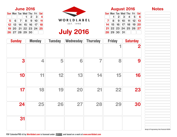Sun Mon Tue Wed Thu Fri Sat

 8 9 10 11 12 13 15  $16$  16 17 18 19 20 22 23 24 25 26 27

29 30 31

 $1 \ 2 \ 3 \ 4 \ 5 \ 6$ 



<span id="page-8-0"></span>

| $S$ un $\mathsf{Mon}(\mathsf{Tue})$ Wed $\mathsf{Tri}$ Fri $\mathsf{Cat}$                                                                       |  |                 |  |
|-------------------------------------------------------------------------------------------------------------------------------------------------|--|-----------------|--|
|                                                                                                                                                 |  | $1 \ 2 \ 3 \ 4$ |  |
| $\begin{bmatrix} 5 \end{bmatrix}$ 6 $\begin{bmatrix} 7 \end{bmatrix}$ 8 $\begin{bmatrix} 9 \end{bmatrix}$ 10 $\begin{bmatrix} 11 \end{bmatrix}$ |  |                 |  |
| $12$ $13$ $14$ $15$ $16$ $17$ $18$                                                                                                              |  |                 |  |
| $19\overline{)20\overline{)}21\overline{)22\overline{)}23\overline{)}24\overline{)}25}$                                                         |  |                 |  |
| $\boxed{26}$ 27 28 29 30                                                                                                                        |  |                 |  |

| <b>Sunday</b> | <b>Monday</b> | <b>Tuesday</b> | Wednesday | <b>Thursday</b> | <b>Friday</b>            | <b>Saturday</b> |
|---------------|---------------|----------------|-----------|-----------------|--------------------------|-----------------|
|               |               |                |           |                 | $\overline{\phantom{a}}$ | 2               |
| 3             | 4             | 5              | 6         | $\overline{7}$  | 8                        | 9               |
| 10            | 11            | 12             | 13        | 14              | 15                       | 16              |
| 17            | 18            | 19             | 20        | 21              | 22                       | 23              |
| 24            | 25            | 26             | 27        | 28              | 29                       | 30              |
| 31            |               |                |           |                 |                          |                 |

Design & Programming: Alex Pavlovich ©2015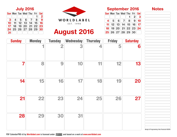$\boxed{\mathsf{Sun}}$  Mon Tue Wed Thu Fri  $\boxed{\mathsf{Sat}}$ 

 $4 5 6 7 8 9 10$ **11 | 12 | 13 | 14 | 15 | 16 | 17 |**  $18$  19 20 21 22 23 24

 $(\bm{25} \vert \bm{26} \vert \bm{27} \vert \bm{28} \vert \bm{29} \vert \bm{30})$ 

 $1 \ 2 \ 3$ 

July 2016 September 2016 WORLDLABEL EST. 1998

## August 2016



<span id="page-9-0"></span>

| $(\textsf{Sun})(\textsf{Mon})(\textsf{True})(\textsf{Wed})(\textsf{Tri})(\textsf{Sat})$ |                         |  |              |
|-----------------------------------------------------------------------------------------|-------------------------|--|--------------|
|                                                                                         |                         |  | $\mathbf{2}$ |
| 3 <sup>  </sup>                                                                         | $ 4 $ 5 $ 6 $ 7 $ 8 $ 9 |  |              |
| $10$ $11$ $12$ $13$ $14$ $15$ $16$                                                      |                         |  |              |
| $17)$ $18)$ $19)$ $20)$ $21)$ $22)$ $23)$                                               |                         |  |              |
| $\boxed{24} \boxed{25} \boxed{26} \boxed{27} \boxed{28} \boxed{29} \boxed{30}$          |                         |  |              |
| 31                                                                                      |                         |  |              |

| <b>Sunday</b> | <b>Monday</b> | <b>Tuesday</b>          | Wednesday | <b>Thursday</b> | <b>Friday</b> | <b>Saturday</b> |
|---------------|---------------|-------------------------|-----------|-----------------|---------------|-----------------|
|               |               | $\overline{\mathbf{2}}$ | 3         | 4               | 5             | 6               |
| 7             | 8             | 9                       | 10        | 11              | 12            | 13              |
| 14            | 15            | 16                      | 17        | 18              | 19            | 20              |
| 21            | 22            | 23                      | 24        | 25              | 26            | 27              |
| 28            | 29            | 30                      | 31        |                 |               |                 |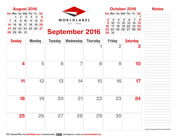Sun Mon Tue Wed Thu Fri Sat

 $2$  3 4 5 6 7 8  $9 \mid 10 \mid 11 \mid 12 \mid 13 \mid 14 \mid 15$  $\boxed{16}$   $\boxed{17}$   $\boxed{18}$   $\boxed{19}$   $\boxed{20}$   $\boxed{21}$   $\boxed{22}$  $\boxed{23}\boxed{24}\boxed{25}\boxed{26}\boxed{27}\boxed{28}\boxed{29}$ 

 $\overline{30}$   $\overline{31}$ 

1



<span id="page-10-0"></span>

| Sun Mon Tue Wed Thu Fri Sat |  |                                                     |  |  |
|-----------------------------|--|-----------------------------------------------------|--|--|
|                             |  | $1 \ 2 \ 3 \ 4 \ 5 \ 6$                             |  |  |
|                             |  | $\overline{7}$ 8 9 10 11 12 13                      |  |  |
|                             |  | $14$ $15$ $16$ $17$ $18$ $19$ $20$                  |  |  |
|                             |  | 21  22  23  24  25  26  27                          |  |  |
|                             |  | $\boxed{28}$ $\boxed{29}$ $\boxed{30}$ $\boxed{31}$ |  |  |

### September 2016

| <b>Sunday</b> | <b>Monday</b> | <b>Tuesday</b> | <b>Wednesday</b> | <b>Thursday</b> | <b>Friday</b> | <b>Saturday</b> |
|---------------|---------------|----------------|------------------|-----------------|---------------|-----------------|
|               |               |                |                  |                 | 2             | 3               |
| 4             | 5             | 6              | 7                | 8               | 9             | 10              |
| 11            | 12            | 13             | 14               | 15              | 16            | 17              |
| 18            | 19            | 20             | 21               | 22              | 23            | 24              |
| 25            | 26            | 27             | 28               | 29              | 30            |                 |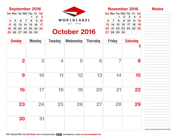$S$ un $(M$ on $T$ ue $(Wed)$ Thu $(T$ Fri $(Gat)$ 

 $6$  7 8 9 10 11 12  $\mid$  13  $\mid$  14  $\mid$  15  $\mid$  16  $\mid$  17  $\mid$  18  $\mid$  19  $\mid$  20  $\mid$  21  $\mid$  22  $\mid$  23  $\mid$  24  $\mid$  25  $\mid$  26

 $27$  28 29 30

 $1 \ 2 \ 3 \ 4 \ 5$ 

<span id="page-11-0"></span>September 2016 November 2016 WORLDLABEL EST. 1998

October 2016

| <b>Sun Mon Tue Wed Thu Fri Sat</b>                                            |  |  |                     |
|-------------------------------------------------------------------------------|--|--|---------------------|
|                                                                               |  |  | $1 \vert 2 \vert 3$ |
| $4$ 5 6 7 8 9 10                                                              |  |  |                     |
| <b>11</b> $\mid$ 12 $\mid$ 13 $\mid$ 14 $\mid$ 15 $\mid$ 16 $\mid$ 17 $\mid$  |  |  |                     |
| $18$ $19$ $20$ $21$ $22$ $23$ $24$                                            |  |  |                     |
| $\boxed{25}$ $\boxed{26}$ $\boxed{27}$ $\boxed{28}$ $\boxed{29}$ $\boxed{30}$ |  |  |                     |

| <b>Sunday</b>  | <b>Monday</b> | <b>Tuesday</b>          | Wednesday | <b>Thursday</b> | <b>Friday</b> | <b>Saturday</b> |
|----------------|---------------|-------------------------|-----------|-----------------|---------------|-----------------|
|                |               |                         |           |                 |               |                 |
| $\overline{2}$ | 3             | $\overline{\mathbf{4}}$ | 5         | 6               | 7             | 8               |
| 9              | 10            | 11                      | 12        | 13              | 14            | 15              |
| 16             | 17            | 18                      | 19        | 20              | 21            | 22              |
| 23             | 24            | 25                      | 26        | 27              | 28            | 29              |
| 30             | 31            |                         |           |                 |               |                 |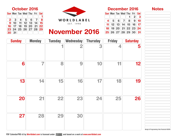$S$ un $(M$ on $T$ ue $(Wed)$ Thu $(T$ Fri $\overline{S}$ Sat

4 || 5 || 6 || 7 || 8 || 9 || 10 11 12 13 14 15 16 17  $18$  19 20 21 22 23 24  $\left[\,25\right]\!\left[26\right]\!\left[27\right]\!\left[28\right]\!\left[29\right]\!\left[30\right]\!\left[31\right]$ 

 $1 \ 2 \ 3$ 

<span id="page-12-0"></span>

| Sun Mon Tue Wed Thu Fri Sat                                              |  |  |  |
|--------------------------------------------------------------------------|--|--|--|
|                                                                          |  |  |  |
| $2$ 3 4 5 6 7 8                                                          |  |  |  |
| $9(10)$ $11(12)$ $13(14)$ $15$                                           |  |  |  |
| $16$ $17$ $18$ $19$ $20$ $21$ $22$                                       |  |  |  |
| $\boxed{23}\boxed{24}\boxed{25}\boxed{26}\boxed{27}\boxed{28}\boxed{29}$ |  |  |  |
| $30\vert 31\vert$                                                        |  |  |  |

### November 2016

| <b>Sunday</b> | <b>Monday</b> | <b>Tuesday</b> | <b>Wednesday</b> | <b>Thursday</b> | <b>Friday</b> | <b>Saturday</b> |
|---------------|---------------|----------------|------------------|-----------------|---------------|-----------------|
|               |               |                | 2                | 3               | 4             | 5               |
| 6             | 7             | 8              | 9                | 10              | 11            | 12              |
| 13            | 14            | 15             | 16               | 17              | 18            | 19              |
| 20            | 21            | 22             | 23               | 24              | 25            | 26              |
| 27            | 28            | 29             | 30               |                 |               |                 |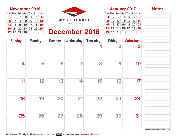$S$ un $(M$ on $T$ ue $(Wed)$ Thu $(T$ Fri $(Gat)$ 1  $| 2 | 3 | 4 | 5 | 6 | 7$ 8 9 10 11 12 13 14  $15$  16 17 18 19 20 21  $\mid$  22  $\mid$  23  $\mid$  24  $\mid$  25  $\mid$  26  $\mid$  27  $\mid$  28

 $\left[29\right]30\right[31]$ 

<span id="page-13-0"></span>November 2016 **January 2017** WORLDLABEL EST. 1998

| $S$ un $\mathsf{Mon}(T$ ue $\mathsf{Wed}(T$ hu $\mathsf{Fin}(Sat)$                                              |                     |  |  |
|-----------------------------------------------------------------------------------------------------------------|---------------------|--|--|
|                                                                                                                 | $1 \ 2 \ 3 \ 4 \ 5$ |  |  |
| $6$ 7 8 9 10 11 12                                                                                              |                     |  |  |
| $\overline{13}$ $\overline{14}$ $\overline{15}$ $\overline{16}$ $\overline{17}$ $\overline{18}$ $\overline{19}$ |                     |  |  |
|                                                                                                                 |                     |  |  |
| 27 28 29 30                                                                                                     |                     |  |  |

### December 2016

| <b>Sunday</b> | <b>Monday</b> | <b>Tuesday</b> | <b>Wednesday</b> | <b>Thursday</b> | <b>Friday</b> | <b>Saturday</b> |
|---------------|---------------|----------------|------------------|-----------------|---------------|-----------------|
|               |               |                |                  |                 | 2             | 3               |
| 4             | 5             | 6              | 7                | 8               | 9             | 10              |
| 11            | 12            | 13             | 14               | 15              | 16            | 17              |
| 18            | 19            | 20             | 21               | 22              | 23            | 24              |
| 25            | 26            | 27             | 28               | 29              | 30            | 31              |